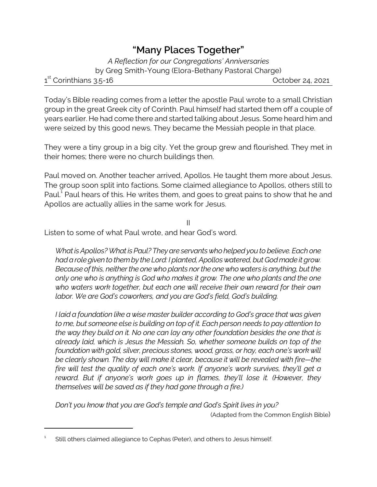## **"Many Places Together"**

*A Reflection for our Congregations' Anniversaries* by Greg Smith-Young (Elora-Bethany Pastoral Charge)

1 st Corinthians 3.5-16 October 24, 2021

Today's Bible reading comes from a letter the apostle Paul wrote to a small Christian group in the great Greek city of Corinth. Paul himself had started them off a couple of years earlier. He had come there and started talking about Jesus. Some heard him and were seized by this good news. They became the Messiah people in that place.

They were a tiny group in a big city. Yet the group grew and flourished. They met in their homes; there were no church buildings then.

Paul moved on. Another teacher arrived, Apollos. He taught them more about Jesus. The group soon split into factions. Some claimed allegiance to Apollos, others still to Paul.<sup>1</sup> Paul hears of this. He writes them, and goes to great pains to show that he and Apollos are actually allies in the same work for Jesus.

II

Listen to some of what Paul wrote, and hear God's word.

*WhatisApollos?Whatis Paul? They are servantswhohelpedyou to believe. Each one hadarolegiven to themby the Lord: I planted,Apollos watered, butGodmade it grow. Because ofthis, neitherthe one who plants northe one who waters is anything, butthe only one who is anything is God who makes it grow. The one who plants and the one who waters work together, but each one will receive their own reward for their own labor. We are God's coworkers, and you are God's field, God's building.*

*I laid a foundation like a wise master builder according to God's grace that was given to me, but someone else is building on top of it. Each person needs to pay attention to the way they build on it. No one can lay any other foundation besides the one that is already laid, which is Jesus the Messiah. So, whether someone builds on top of the foundation with gold, silver, precious stones, wood, grass, or hay, each one's work will be clearly shown. The day will make it clear, because it will be revealed with fire—the fire will test the quality of each one's work. If anyone's work survives, they'll get a reward. But if anyone's work goes up in flames, they'll lose it. (However, they themselves will be saved as if they had gone through a fire.)*

*Don't you know that you are God's temple and God's Spirit lives in you?*

(Adapted from the Common English Bible)

<sup>1</sup> Still others claimed allegiance to Cephas (Peter), and others to Jesus himself.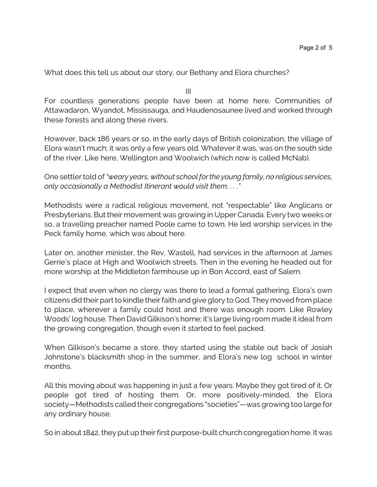What does this tell us about our story, our Bethany and Elora churches?

III

For countless generations people have been at home here. Communities of Attawadaron, Wyandot, Mississauga, and Haudenosaunee lived and worked through these forests and along these rivers.

However, back 186 years or so, in the early days of British colonization, the village of Elora wasn't much; it was only a few years old. Whatever it was, was on the south side of the river. Like here, Wellington and Woolwich (which now is called McNab).

One settler told of *"weary years, without school for the young family, no religious services, only occasionally a Methodist Itinerant would visit them. . . ."*

Methodists were a radical religious movement, not "respectable" like Anglicans or Presbyterians. But their movement was growing in Upper Canada. Every two weeks or so, a travelling preacher named Poole came to town. He led worship services in the Peck family home, which was about here.

Later on, another minister, the Rev. Wastell, had services in the afternoon at James Gerrie's place at High and Woolwich streets. Then in the evening he headed out for more worship at the Middleton farmhouse up in Bon Accord, east of Salem.

I expect that even when no clergy was there to lead a formal gathering, Elora's own citizens did their part to kindle their faith and give glory to God. They moved from place to place, wherever a family could host and there was enough room. Like Rowley Woods' log house. Then David Gilkison's home; it's large living room made it ideal from the growing congregation, though even it started to feel packed.

When Gilkison's became a store, they started using the stable out back of Josiah Johnstone's blacksmith shop in the summer, and Elora's new log school in winter months.

All this moving about was happening in just a few years. Maybe they got tired of it. Or people got tired of hosting them. Or, more positively-minded, the Elora society—Methodists called their congregations "societies"—was growing too large for any ordinary house.

So in about 1842, they put up their first purpose-built church congregation home. It was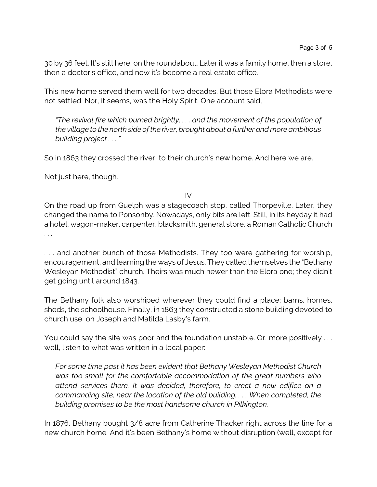30 by 36 feet. It's still here, on the roundabout. Later it was a family home, then a store, then a doctor's office, and now it's become a real estate office.

This new home served them well for two decades. But those Elora Methodists were not settled. Nor, it seems, was the Holy Spirit. One account said,

*"The revival fire which burned brightly, . . . and the movement of the population of the village to the north side of the river, brought about a further and more ambitious building project . . . "*

So in 1863 they crossed the river, to their church's new home. And here we are.

Not just here, though.

IV

On the road up from Guelph was a stagecoach stop, called Thorpeville. Later, they changed the name to Ponsonby. Nowadays, only bits are left. Still, in its heyday it had a hotel, wagon-maker, carpenter, blacksmith, general store, a Roman Catholic Church . . .

. . . and another bunch of those Methodists. They too were gathering for worship, encouragement, and learning the ways of Jesus. They called themselves the "Bethany Wesleyan Methodist" church. Theirs was much newer than the Elora one; they didn't get going until around 1843.

The Bethany folk also worshiped wherever they could find a place: barns, homes, sheds, the schoolhouse. Finally, in 1863 they constructed a stone building devoted to church use, on Joseph and Matilda Lasby's farm.

You could say the site was poor and the foundation unstable. Or, more positively . . . well, listen to what was written in a local paper:

*For some time past it has been evident that Bethany Wesleyan Methodist Church was too small for the comfortable accommodation of the great numbers who attend services there. It was decided, therefore, to erect a new edifice on a commanding site, near the location of the old building. . . . When completed, the building promises to be the most handsome church in Pilkington.*

In 1876, Bethany bought 3/8 acre from Catherine Thacker right across the line for a new church home. And it's been Bethany's home without disruption (well, except for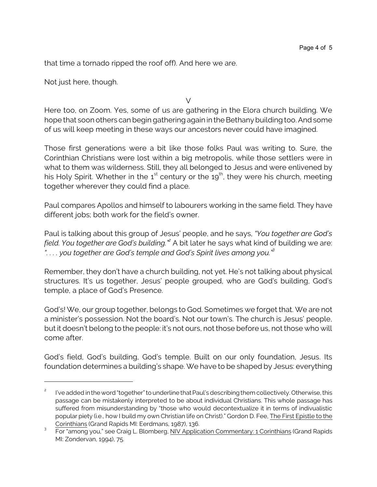that time a tornado ripped the roof off). And here we are.

Not just here, though.

 $\sqrt{}$ 

Here too, on Zoom. Yes, some of us are gathering in the Elora church building. We hope that soon others can begin gathering again in the Bethany building too. And some of us will keep meeting in these ways our ancestors never could have imagined.

Those first generations were a bit like those folks Paul was writing to. Sure, the Corinthian Christians were lost within a big metropolis, while those settlers were in what to them was wilderness. Still, they all belonged to Jesus and were enlivened by his Holy Spirit. Whether in the  $\boldsymbol{\mathsf{1}}^{\text{st}}$  century or the  $\boldsymbol{\mathsf{19}}^{\text{th}}$ , they were his church, meeting together wherever they could find a place.

Paul compares Apollos and himself to labourers working in the same field. They have different jobs; both work for the field's owner.

Paul is talking about this group of Jesus' people, and he says, *"You together are God's field. You together are God's building."<sup>2</sup>* A bit later he says what kind of building we are: *". . . . you together are God's temple and God's Spirit lives among you."<sup>3</sup>*

Remember, they don't have a church building, not yet. He's not talking about physical structures. It's us together, Jesus' people grouped, who are God's building, God's temple, a place of God's Presence.

God's! We, our group together, belongs to God. Sometimes we forget that. We are not a minister's possession. Not the board's. Not our town's. The church is Jesus' people, but it doesn't belong to the people: it's not ours, not those before us, not those who will come after.

God's field, God's building, God's temple. Built on our only foundation, Jesus. Its foundation determines a building's shape. We have to be shaped by Jesus: everything

<sup>2</sup> I've added in the word "together" to underline that Paul's describing them collectively. Otherwise, this passage can be mistakenly interpreted to be about individual Christians. This whole passage has suffered from misunderstanding by "those who would decontextualize it in terms of indivualistic popular piety (i.e., how I build my own Christian life on Christ)." Gordon D. Fee, The First Epistle to the Corinthians (Grand Rapids MI: Eerdmans, 1987), 136.

<sup>&</sup>lt;sup>3</sup> For "among you," see Craig L. Blomberg, NIV Application Commentary: 1 Corinthians (Grand Rapids MI: Zondervan, 1994), 75.